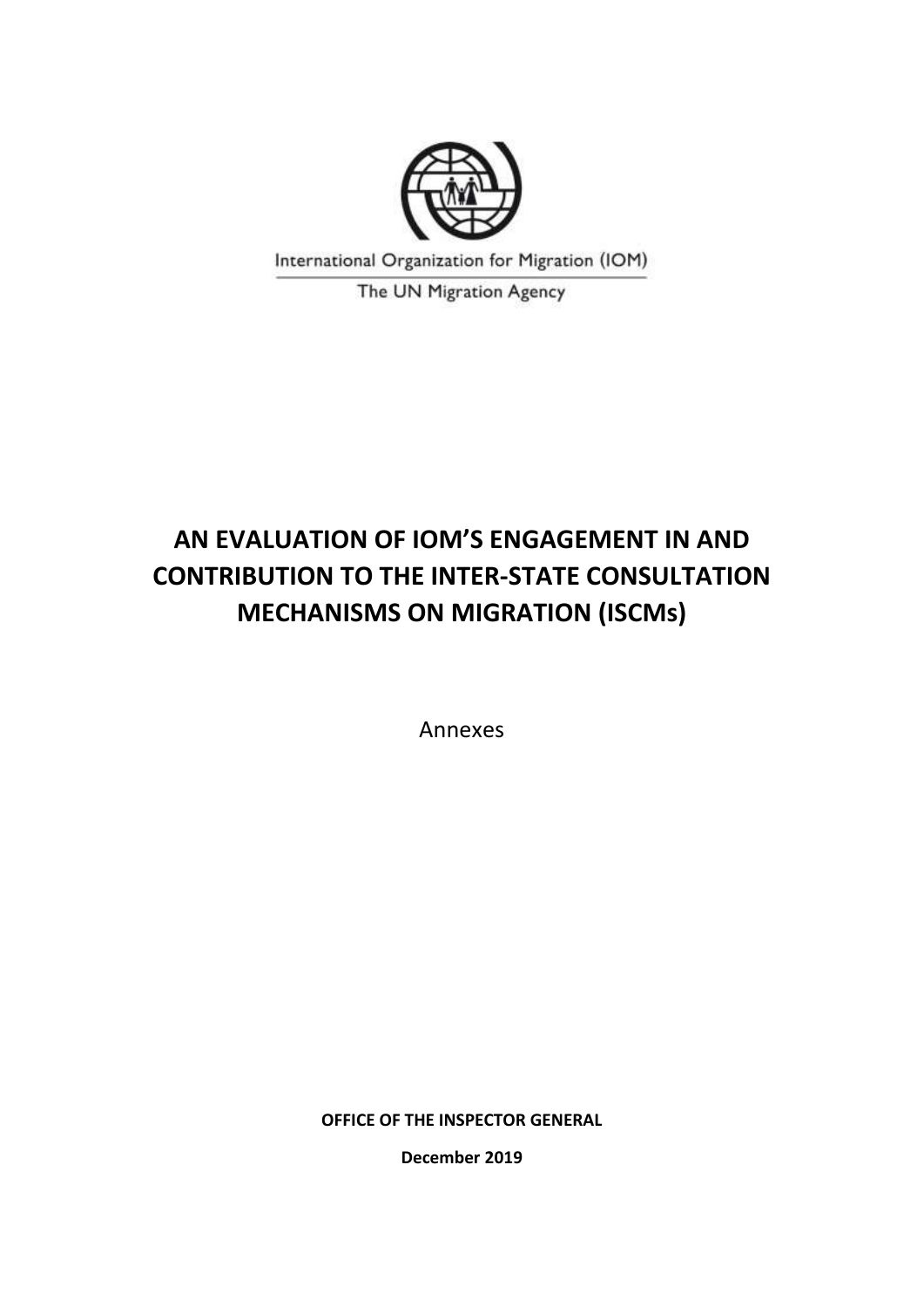

International Organization for Migration (IOM)

The UN Migration Agency

# **AN EVALUATION OF IOM'S ENGAGEMENT IN AND CONTRIBUTION TO THE INTER-STATE CONSULTATION MECHANISMS ON MIGRATION (ISCMs)**

Annexes

**OFFICE OF THE INSPECTOR GENERAL**

**December 2019**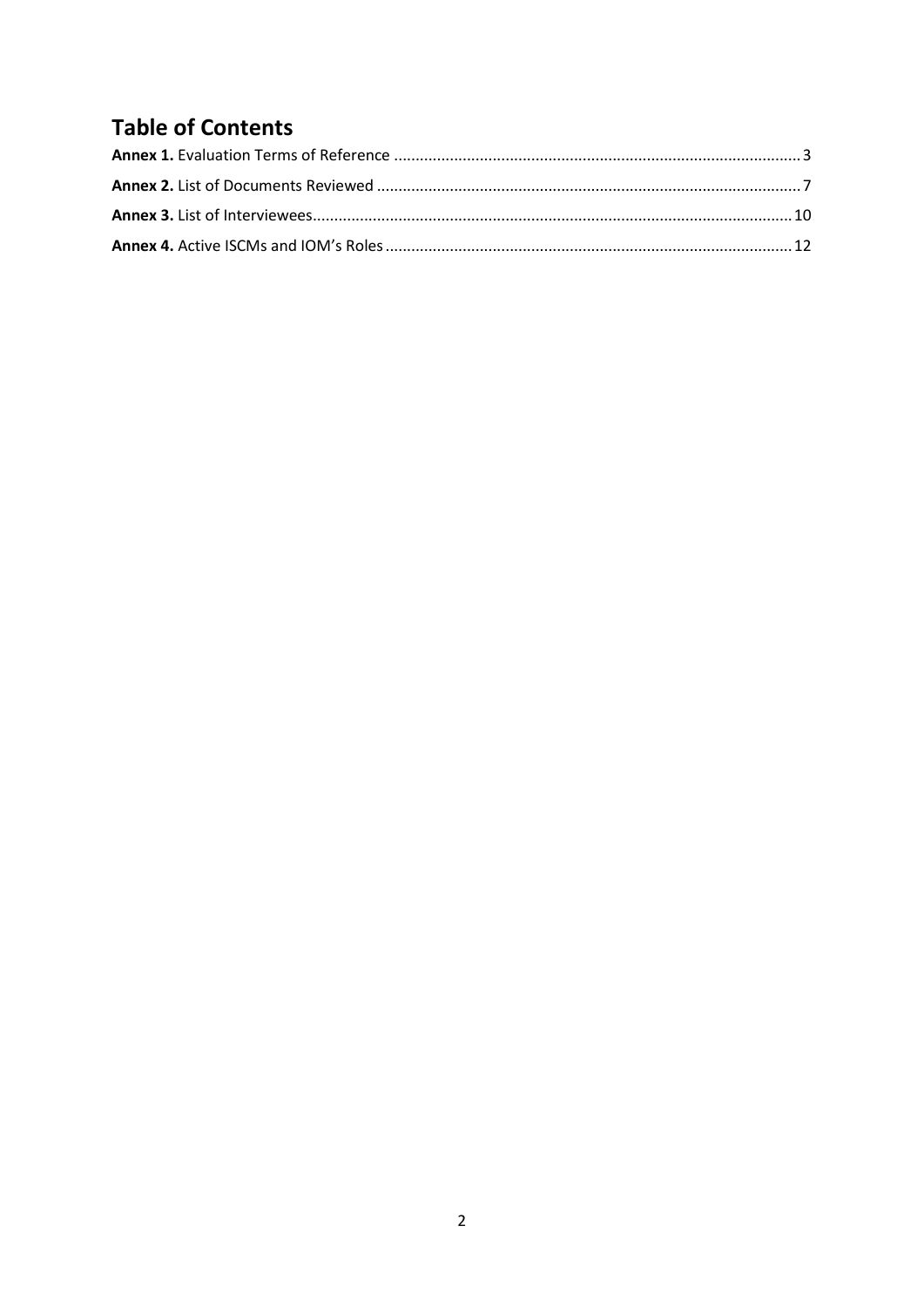# **Table of Contents**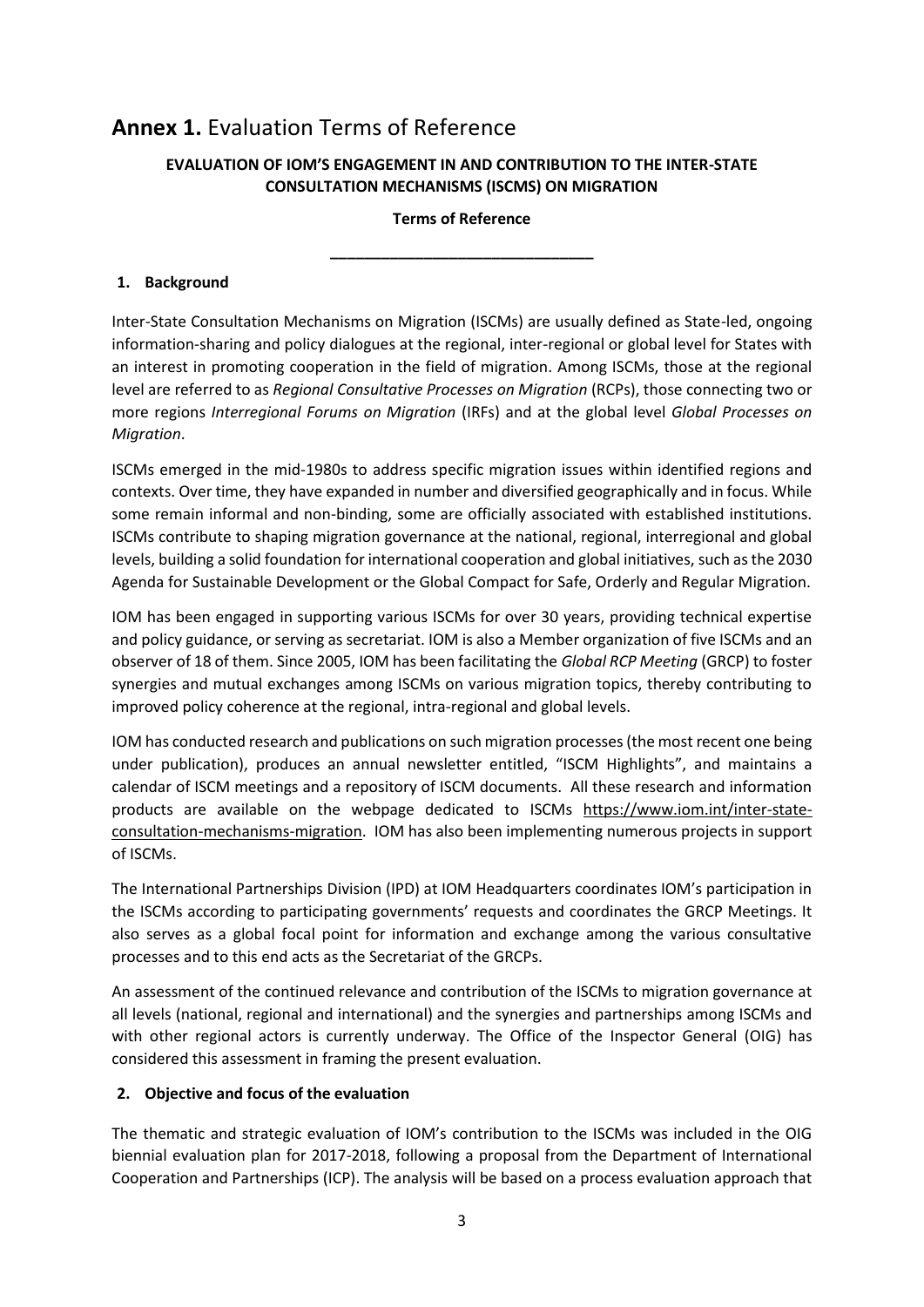### <span id="page-2-0"></span>**Annex 1.** Evaluation Terms of Reference

#### **EVALUATION OF IOM'S ENGAGEMENT IN AND CONTRIBUTION TO THE INTER-STATE CONSULTATION MECHANISMS (ISCMS) ON MIGRATION**

#### **Terms of Reference**

**\_\_\_\_\_\_\_\_\_\_\_\_\_\_\_\_\_\_\_\_\_\_\_\_\_\_\_\_\_\_\_**

#### **1. Background**

Inter-State Consultation Mechanisms on Migration (ISCMs) are usually defined as State-led, ongoing information-sharing and policy dialogues at the regional, inter-regional or global level for States with an interest in promoting cooperation in the field of migration. Among ISCMs, those at the regional level are referred to as *Regional Consultative Processes on Migration* (RCPs), those connecting two or more regions *Interregional Forums on Migration* (IRFs) and at the global level *Global Processes on Migration*.

ISCMs emerged in the mid-1980s to address specific migration issues within identified regions and contexts. Over time, they have expanded in number and diversified geographically and in focus. While some remain informal and non-binding, some are officially associated with established institutions. ISCMs contribute to shaping migration governance at the national, regional, interregional and global levels, building a solid foundation for international cooperation and global initiatives, such as the 2030 Agenda for Sustainable Development or the Global Compact for Safe, Orderly and Regular Migration.

IOM has been engaged in supporting various ISCMs for over 30 years, providing technical expertise and policy guidance, or serving as secretariat. IOM is also a Member organization of five ISCMs and an observer of 18 of them. Since 2005, IOM has been facilitating the *Global RCP Meeting* (GRCP) to foster synergies and mutual exchanges among ISCMs on various migration topics, thereby contributing to improved policy coherence at the regional, intra-regional and global levels.

IOM has conducted research and publications on such migration processes (the most recent one being under publication), produces an annual newsletter entitled, "ISCM Highlights", and maintains a calendar of ISCM meetings and a repository of ISCM documents. All these research and information products are available on the webpage dedicated to ISCMs [https://www.iom.int/inter-state](https://www.iom.int/inter-state-consultation-mechanisms-migration)[consultation-mechanisms-migration.](https://www.iom.int/inter-state-consultation-mechanisms-migration) IOM has also been implementing numerous projects in support of ISCMs.

The International Partnerships Division (IPD) at IOM Headquarters coordinates IOM's participation in the ISCMs according to participating governments' requests and coordinates the GRCP Meetings. It also serves as a global focal point for information and exchange among the various consultative processes and to this end acts as the Secretariat of the GRCPs.

An assessment of the continued relevance and contribution of the ISCMs to migration governance at all levels (national, regional and international) and the synergies and partnerships among ISCMs and with other regional actors is currently underway. The Office of the Inspector General (OIG) has considered this assessment in framing the present evaluation.

#### **2. Objective and focus of the evaluation**

The thematic and strategic evaluation of IOM's contribution to the ISCMs was included in the OIG biennial evaluation plan for 2017-2018, following a proposal from the Department of International Cooperation and Partnerships (ICP). The analysis will be based on a process evaluation approach that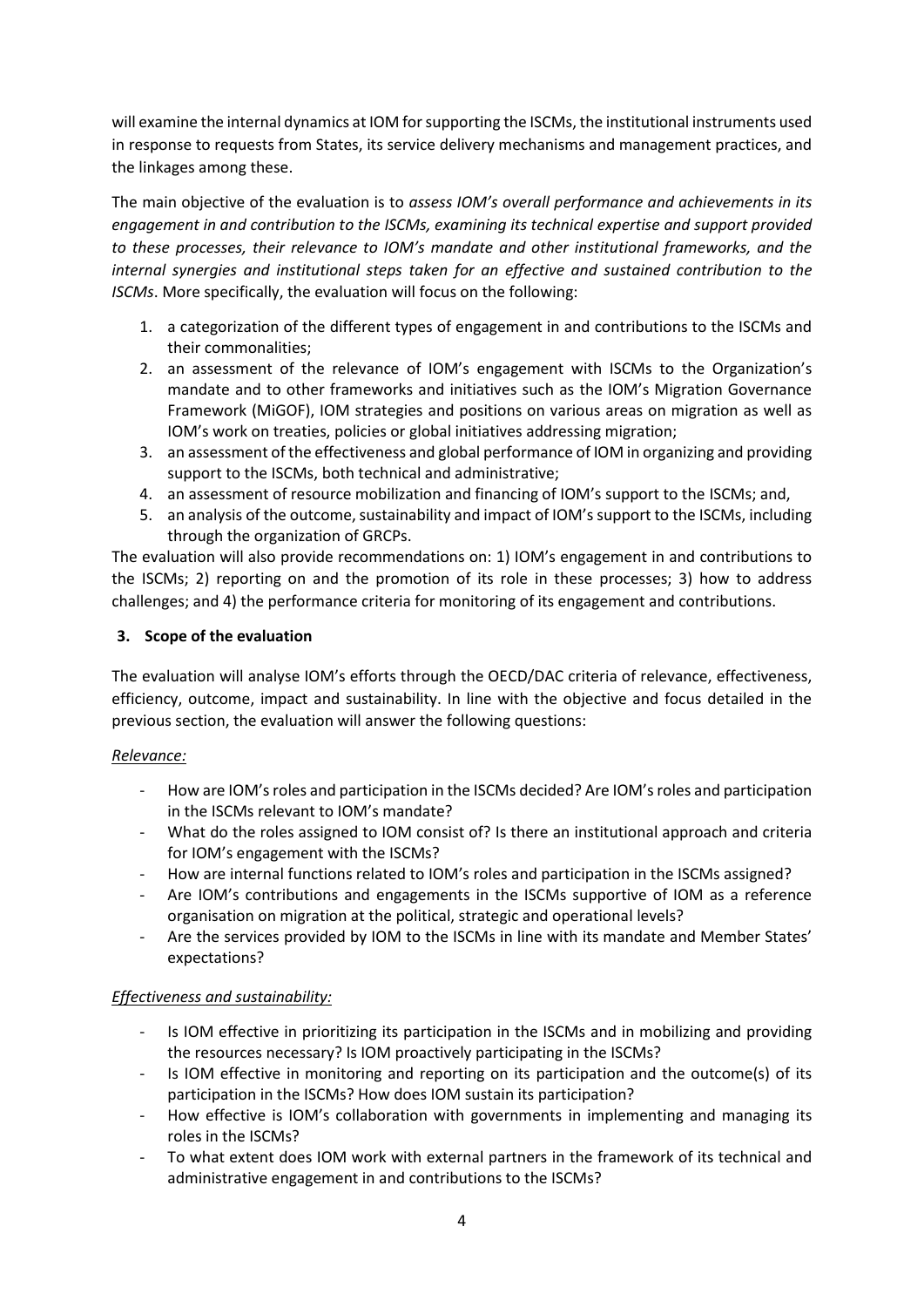will examine the internal dynamics at IOM for supporting the ISCMs, the institutional instruments used in response to requests from States, its service delivery mechanisms and management practices, and the linkages among these.

The main objective of the evaluation is to *assess IOM's overall performance and achievements in its engagement in and contribution to the ISCMs, examining its technical expertise and support provided to these processes, their relevance to IOM's mandate and other institutional frameworks, and the internal synergies and institutional steps taken for an effective and sustained contribution to the ISCMs*. More specifically, the evaluation will focus on the following:

- 1. a categorization of the different types of engagement in and contributions to the ISCMs and their commonalities;
- 2. an assessment of the relevance of IOM's engagement with ISCMs to the Organization's mandate and to other frameworks and initiatives such as the IOM's Migration Governance Framework (MiGOF), IOM strategies and positions on various areas on migration as well as IOM's work on treaties, policies or global initiatives addressing migration;
- 3. an assessment of the effectiveness and global performance of IOM in organizing and providing support to the ISCMs, both technical and administrative;
- 4. an assessment of resource mobilization and financing of IOM's support to the ISCMs; and,
- 5. an analysis of the outcome, sustainability and impact of IOM's support to the ISCMs, including through the organization of GRCPs.

The evaluation will also provide recommendations on: 1) IOM's engagement in and contributions to the ISCMs; 2) reporting on and the promotion of its role in these processes; 3) how to address challenges; and 4) the performance criteria for monitoring of its engagement and contributions.

#### **3. Scope of the evaluation**

The evaluation will analyse IOM's efforts through the OECD/DAC criteria of relevance, effectiveness, efficiency, outcome, impact and sustainability. In line with the objective and focus detailed in the previous section, the evaluation will answer the following questions:

#### *Relevance:*

- How are IOM's roles and participation in the ISCMs decided? Are IOM's roles and participation in the ISCMs relevant to IOM's mandate?
- What do the roles assigned to IOM consist of? Is there an institutional approach and criteria for IOM's engagement with the ISCMs?
- How are internal functions related to IOM's roles and participation in the ISCMs assigned?
- Are IOM's contributions and engagements in the ISCMs supportive of IOM as a reference organisation on migration at the political, strategic and operational levels?
- Are the services provided by IOM to the ISCMs in line with its mandate and Member States' expectations?

#### *Effectiveness and sustainability:*

- Is IOM effective in prioritizing its participation in the ISCMs and in mobilizing and providing the resources necessary? Is IOM proactively participating in the ISCMs?
- Is IOM effective in monitoring and reporting on its participation and the outcome(s) of its participation in the ISCMs? How does IOM sustain its participation?
- How effective is IOM's collaboration with governments in implementing and managing its roles in the ISCMs?
- To what extent does IOM work with external partners in the framework of its technical and administrative engagement in and contributions to the ISCMs?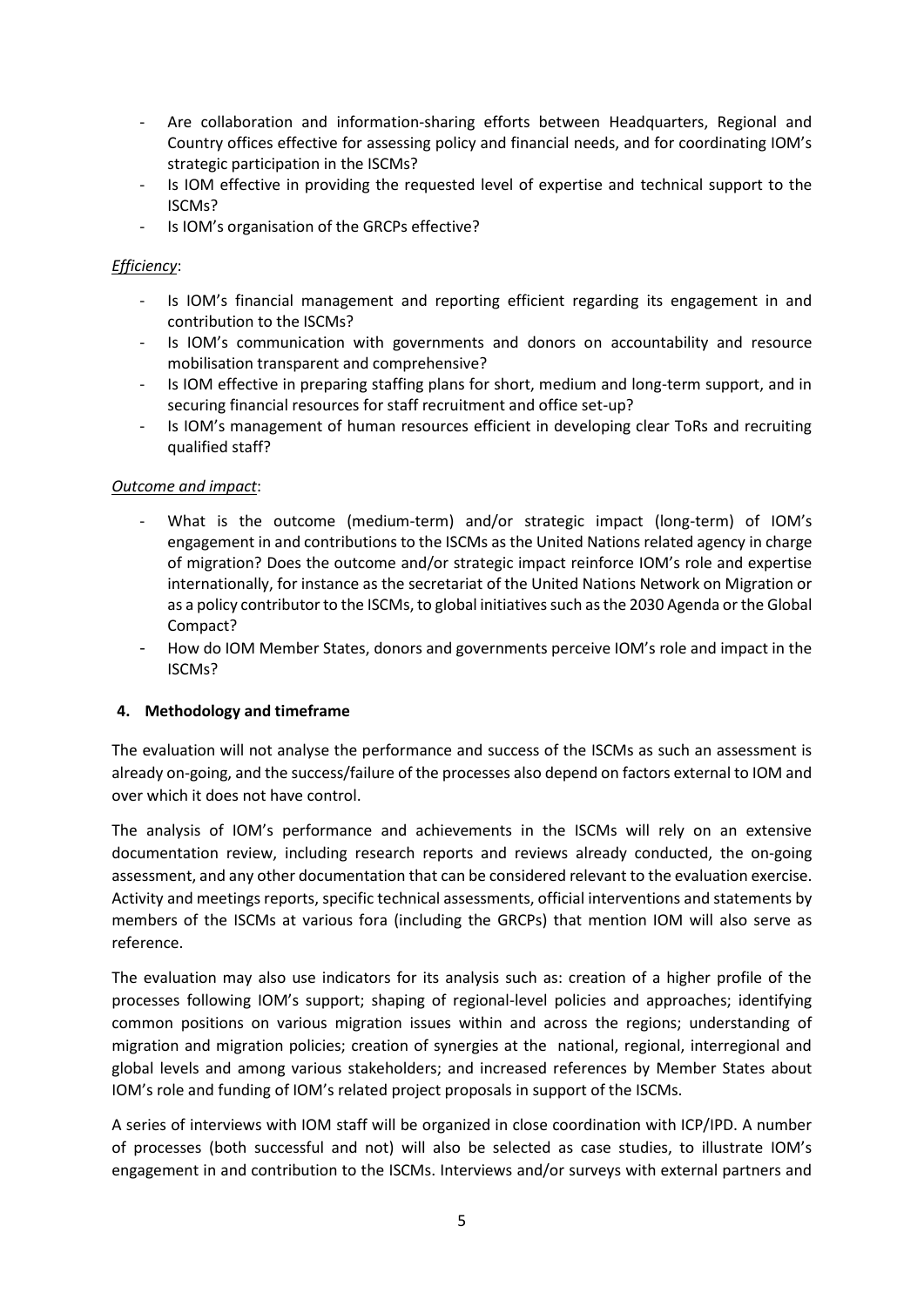- Are collaboration and information-sharing efforts between Headquarters, Regional and Country offices effective for assessing policy and financial needs, and for coordinating IOM's strategic participation in the ISCMs?
- Is IOM effective in providing the requested level of expertise and technical support to the ISCMs?
- Is IOM's organisation of the GRCPs effective?

#### *Efficiency*:

- Is IOM's financial management and reporting efficient regarding its engagement in and contribution to the ISCMs?
- Is IOM's communication with governments and donors on accountability and resource mobilisation transparent and comprehensive?
- Is IOM effective in preparing staffing plans for short, medium and long-term support, and in securing financial resources for staff recruitment and office set-up?
- Is IOM's management of human resources efficient in developing clear ToRs and recruiting qualified staff?

#### *Outcome and impact*:

- What is the outcome (medium-term) and/or strategic impact (long-term) of IOM's engagement in and contributions to the ISCMs as the United Nations related agency in charge of migration? Does the outcome and/or strategic impact reinforce IOM's role and expertise internationally, for instance as the secretariat of the United Nations Network on Migration or as a policy contributor to the ISCMs, to global initiatives such as the 2030 Agenda or the Global Compact?
- How do IOM Member States, donors and governments perceive IOM's role and impact in the ISCMs?

#### **4. Methodology and timeframe**

The evaluation will not analyse the performance and success of the ISCMs as such an assessment is already on-going, and the success/failure of the processes also depend on factors external to IOM and over which it does not have control.

The analysis of IOM's performance and achievements in the ISCMs will rely on an extensive documentation review, including research reports and reviews already conducted, the on-going assessment, and any other documentation that can be considered relevant to the evaluation exercise. Activity and meetings reports, specific technical assessments, official interventions and statements by members of the ISCMs at various fora (including the GRCPs) that mention IOM will also serve as reference.

The evaluation may also use indicators for its analysis such as: creation of a higher profile of the processes following IOM's support; shaping of regional-level policies and approaches; identifying common positions on various migration issues within and across the regions; understanding of migration and migration policies; creation of synergies at the national, regional, interregional and global levels and among various stakeholders; and increased references by Member States about IOM's role and funding of IOM's related project proposals in support of the ISCMs.

A series of interviews with IOM staff will be organized in close coordination with ICP/IPD. A number of processes (both successful and not) will also be selected as case studies, to illustrate IOM's engagement in and contribution to the ISCMs. Interviews and/or surveys with external partners and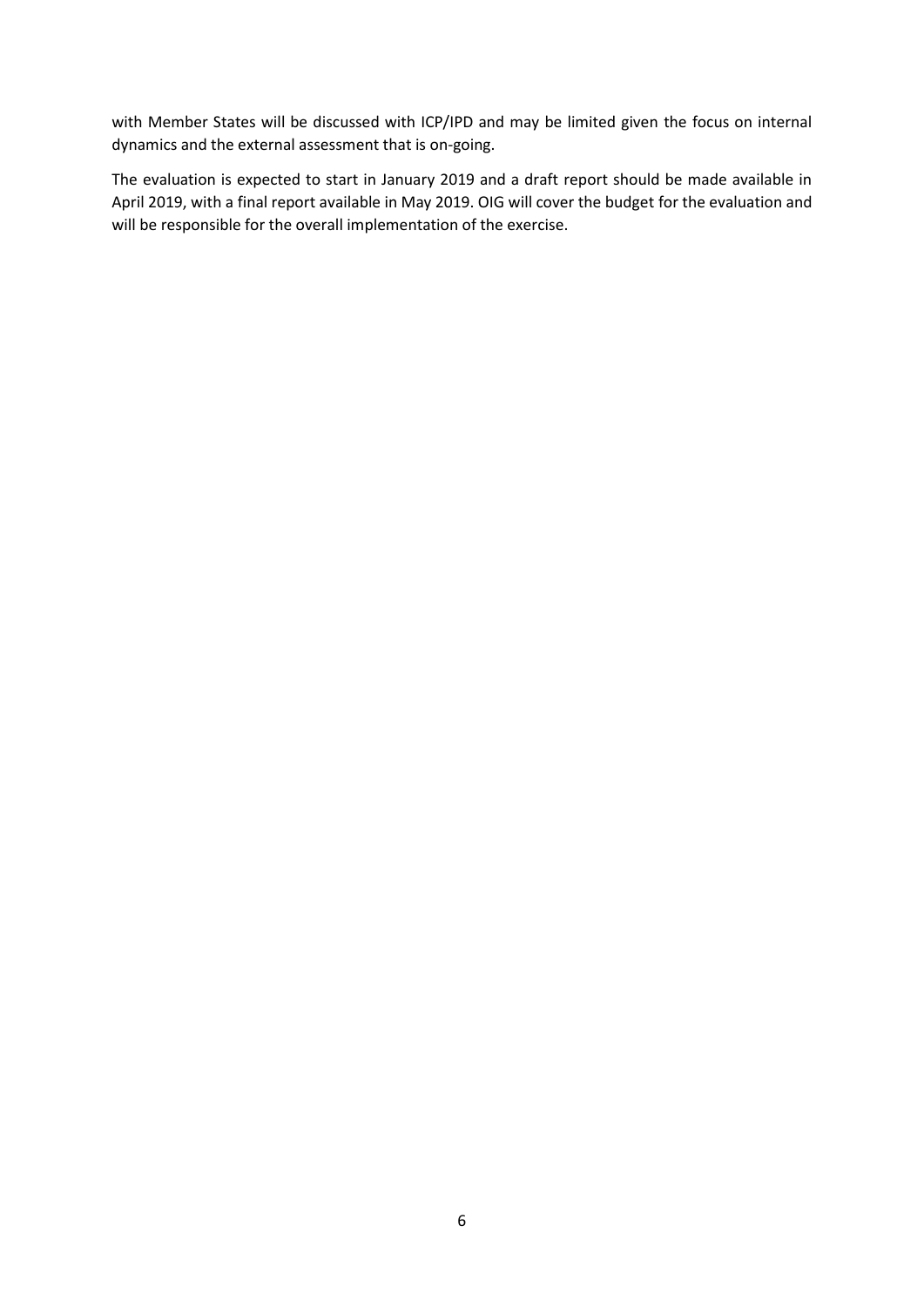with Member States will be discussed with ICP/IPD and may be limited given the focus on internal dynamics and the external assessment that is on-going.

The evaluation is expected to start in January 2019 and a draft report should be made available in April 2019, with a final report available in May 2019. OIG will cover the budget for the evaluation and will be responsible for the overall implementation of the exercise.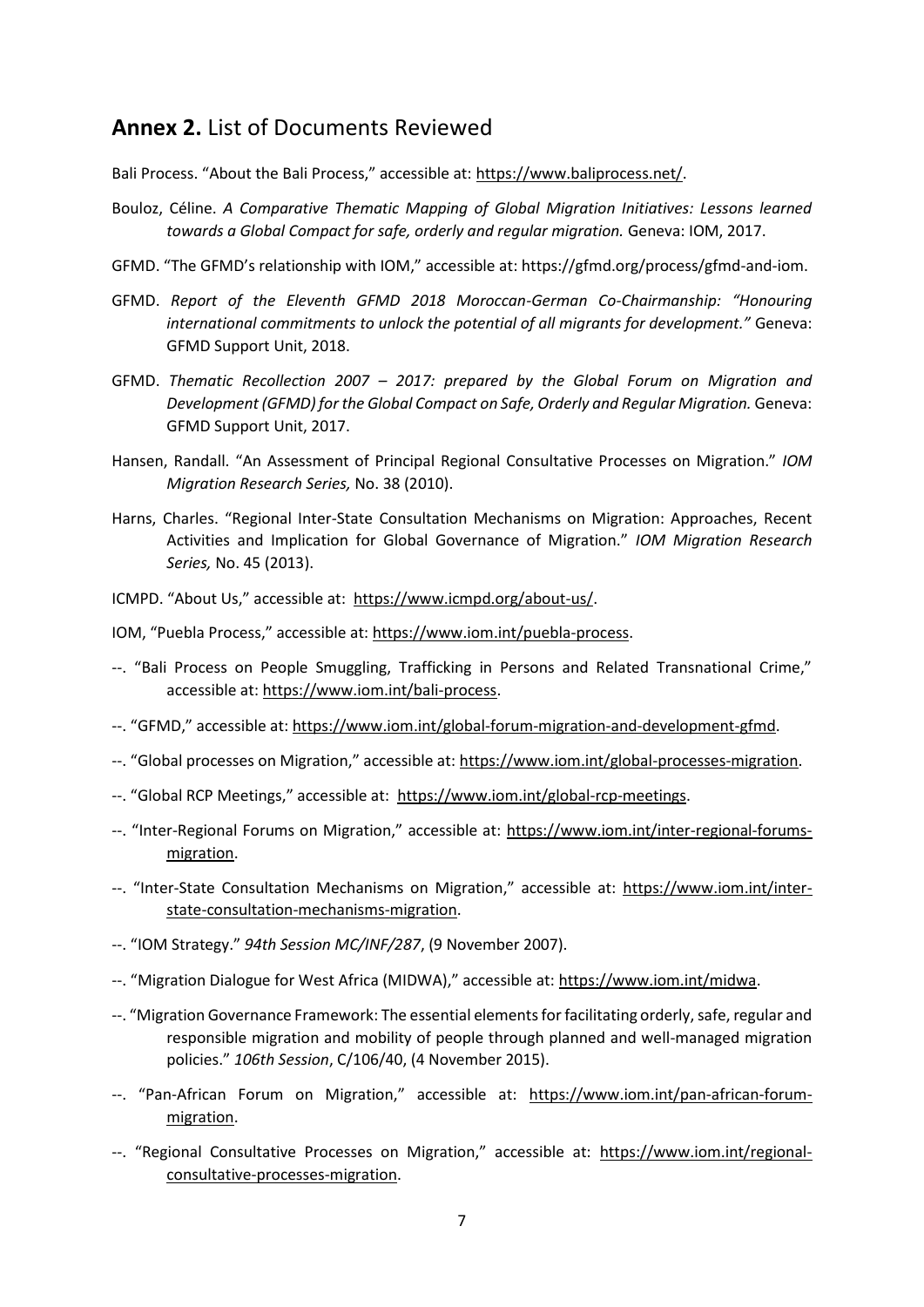### <span id="page-6-0"></span>**Annex 2.** List of Documents Reviewed

Bali Process. "About the Bali Process," accessible at: [https://www.baliprocess.net/.](https://www.baliprocess.net/)

- Bouloz, Céline. *A Comparative Thematic Mapping of Global Migration Initiatives: Lessons learned towards a Global Compact for safe, orderly and regular migration.* Geneva: IOM, 2017.
- GFMD. "The GFMD's relationship with IOM," accessible at: https://gfmd.org/process/gfmd-and-iom.
- GFMD. *Report of the Eleventh GFMD 2018 Moroccan-German Co-Chairmanship: "Honouring international commitments to unlock the potential of all migrants for development."* Geneva: GFMD Support Unit, 2018.
- GFMD. *Thematic Recollection 2007 – 2017: prepared by the Global Forum on Migration and*  Development (GFMD) for the Global Compact on Safe, Orderly and Regular Migration. Geneva: GFMD Support Unit, 2017.
- Hansen, Randall. "An Assessment of Principal Regional Consultative Processes on Migration." *IOM Migration Research Series,* No. 38 (2010).
- Harns, Charles. "Regional Inter-State Consultation Mechanisms on Migration: Approaches, Recent Activities and Implication for Global Governance of Migration." *IOM Migration Research Series,* No. 45 (2013).
- ICMPD. "About Us," accessible at: [https://www.icmpd.org/about-us/.](https://www.icmpd.org/about-us/)

IOM, "Puebla Process," accessible at: [https://www.iom.int/puebla-process.](https://www.iom.int/puebla-process)

- --. "Bali Process on People Smuggling, Trafficking in Persons and Related Transnational Crime," accessible at: [https://www.iom.int/bali-process.](https://www.iom.int/bali-process)
- --. "GFMD," accessible at: [https://www.iom.int/global-forum-migration-and-development-gfmd.](https://www.iom.int/global-forum-migration-and-development-gfmd)
- --. "Global processes on Migration," accessible at: [https://www.iom.int/global-processes-migration.](https://www.iom.int/global-processes-migration)
- --. "Global RCP Meetings," accessible at: [https://www.iom.int/global-rcp-meetings.](https://www.iom.int/global-rcp-meetings)
- --. "Inter-Regional Forums on Migration," accessible at: [https://www.iom.int/inter-regional-forums](https://www.iom.int/inter-regional-forums-migration)[migration.](https://www.iom.int/inter-regional-forums-migration)
- --. "Inter-State Consultation Mechanisms on Migration," accessible at: [https://www.iom.int/inter](https://www.iom.int/inter-state-consultation-mechanisms-migration)[state-consultation-mechanisms-migration.](https://www.iom.int/inter-state-consultation-mechanisms-migration)
- --. "IOM Strategy." *94th Session MC/INF/287*, (9 November 2007).
- --. "Migration Dialogue for West Africa (MIDWA)," accessible at: [https://www.iom.int/midwa.](https://www.iom.int/midwa)
- --. "Migration Governance Framework: The essential elements for facilitating orderly, safe, regular and responsible migration and mobility of people through planned and well-managed migration policies." *106th Session*, C/106/40, (4 November 2015).
- --. "Pan-African Forum on Migration," accessible at: [https://www.iom.int/pan-african-forum](https://www.iom.int/pan-african-forum-migration)[migration.](https://www.iom.int/pan-african-forum-migration)
- --. "Regional Consultative Processes on Migration," accessible at: [https://www.iom.int/regional](https://www.iom.int/regional-consultative-processes-migration)[consultative-processes-migration.](https://www.iom.int/regional-consultative-processes-migration)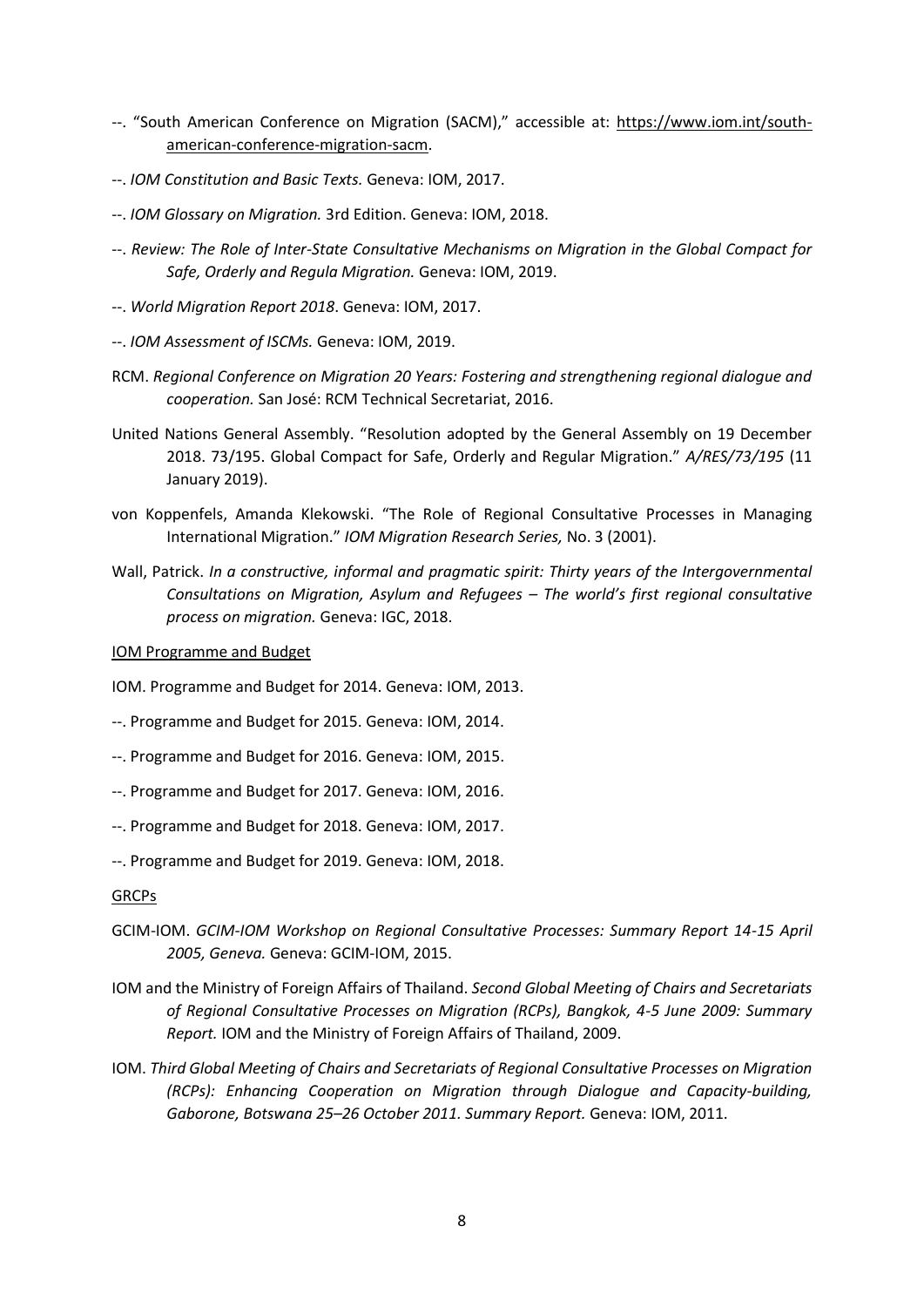- --. "South American Conference on Migration (SACM)," accessible at: [https://www.iom.int/south](https://www.iom.int/south-american-conference-migration-sacm)[american-conference-migration-sacm.](https://www.iom.int/south-american-conference-migration-sacm)
- --. *IOM Constitution and Basic Texts.* Geneva: IOM, 2017.
- --. *IOM Glossary on Migration.* 3rd Edition. Geneva: IOM, 2018.
- --. *Review: The Role of Inter-State Consultative Mechanisms on Migration in the Global Compact for Safe, Orderly and Regula Migration.* Geneva: IOM, 2019.
- --. *World Migration Report 2018*. Geneva: IOM, 2017.
- --. *IOM Assessment of ISCMs.* Geneva: IOM, 2019.
- RCM. *Regional Conference on Migration 20 Years: Fostering and strengthening regional dialogue and cooperation.* San José: RCM Technical Secretariat, 2016.
- United Nations General Assembly. "Resolution adopted by the General Assembly on 19 December 2018. 73/195. Global Compact for Safe, Orderly and Regular Migration." *A/RES/73/195* (11 January 2019).
- von Koppenfels, Amanda Klekowski. "The Role of Regional Consultative Processes in Managing International Migration." *IOM Migration Research Series,* No. 3 (2001).
- Wall, Patrick. *In a constructive, informal and pragmatic spirit: Thirty years of the Intergovernmental Consultations on Migration, Asylum and Refugees – The world's first regional consultative process on migration.* Geneva: IGC, 2018.

IOM Programme and Budget

IOM. Programme and Budget for 2014. Geneva: IOM, 2013.

- --. Programme and Budget for 2015. Geneva: IOM, 2014.
- --. Programme and Budget for 2016. Geneva: IOM, 2015.
- --. Programme and Budget for 2017. Geneva: IOM, 2016.
- --. Programme and Budget for 2018. Geneva: IOM, 2017.
- --. Programme and Budget for 2019. Geneva: IOM, 2018.

#### GRCPs

- GCIM-IOM. *GCIM-IOM Workshop on Regional Consultative Processes: Summary Report 14-15 April 2005, Geneva.* Geneva: GCIM-IOM, 2015.
- IOM and the Ministry of Foreign Affairs of Thailand. *Second Global Meeting of Chairs and Secretariats of Regional Consultative Processes on Migration (RCPs), Bangkok, 4-5 June 2009: Summary Report.* IOM and the Ministry of Foreign Affairs of Thailand, 2009.
- IOM. *Third Global Meeting of Chairs and Secretariats of Regional Consultative Processes on Migration (RCPs): Enhancing Cooperation on Migration through Dialogue and Capacity-building, Gaborone, Botswana 25–26 October 2011. Summary Report.* Geneva: IOM, 2011.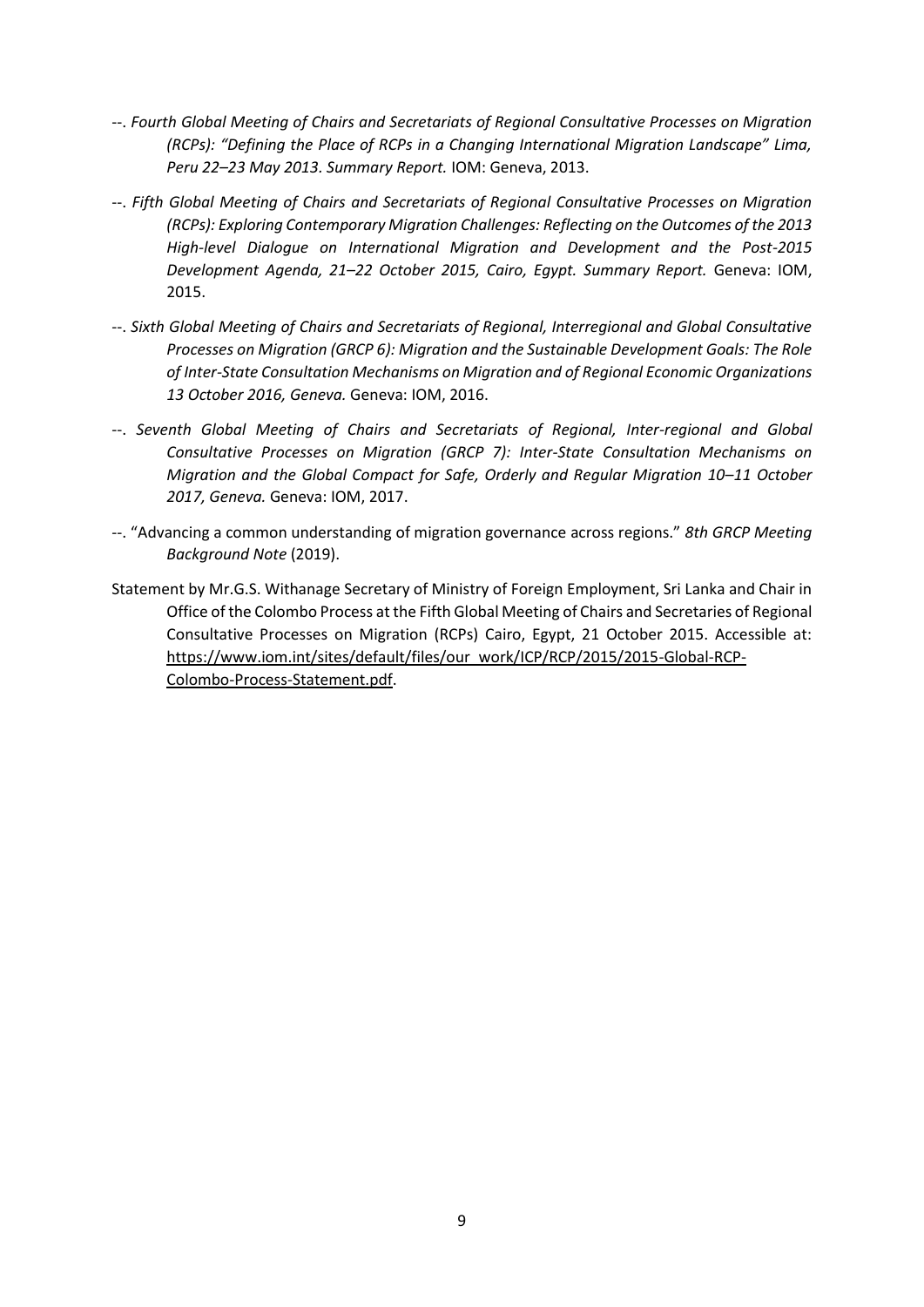- --. *Fourth Global Meeting of Chairs and Secretariats of Regional Consultative Processes on Migration (RCPs): "Defining the Place of RCPs in a Changing International Migration Landscape" Lima, Peru 22–23 May 2013. Summary Report.* IOM: Geneva, 2013.
- --. *Fifth Global Meeting of Chairs and Secretariats of Regional Consultative Processes on Migration (RCPs): Exploring Contemporary Migration Challenges: Reflecting on the Outcomes of the 2013 High-level Dialogue on International Migration and Development and the Post-2015 Development Agenda, 21–22 October 2015, Cairo, Egypt. Summary Report.* Geneva: IOM, 2015.
- --. *Sixth Global Meeting of Chairs and Secretariats of Regional, Interregional and Global Consultative Processes on Migration (GRCP 6): Migration and the Sustainable Development Goals: The Role of Inter-State Consultation Mechanisms on Migration and of Regional Economic Organizations 13 October 2016, Geneva.* Geneva: IOM, 2016.
- --. *Seventh Global Meeting of Chairs and Secretariats of Regional, Inter-regional and Global Consultative Processes on Migration (GRCP 7): Inter-State Consultation Mechanisms on Migration and the Global Compact for Safe, Orderly and Regular Migration 10–11 October 2017, Geneva.* Geneva: IOM, 2017.
- --. "Advancing a common understanding of migration governance across regions." *8th GRCP Meeting Background Note* (2019).
- Statement by Mr.G.S. Withanage Secretary of Ministry of Foreign Employment, Sri Lanka and Chair in Office of the Colombo Process at the Fifth Global Meeting of Chairs and Secretaries of Regional Consultative Processes on Migration (RCPs) Cairo, Egypt, 21 October 2015. Accessible at: [https://www.iom.int/sites/default/files/our\\_work/ICP/RCP/2015/2015-Global-RCP-](https://www.iom.int/sites/default/files/our_work/ICP/RCP/2015/2015-Global-RCP-Colombo-Process-Statement.pdf)[Colombo-Process-Statement.pdf.](https://www.iom.int/sites/default/files/our_work/ICP/RCP/2015/2015-Global-RCP-Colombo-Process-Statement.pdf)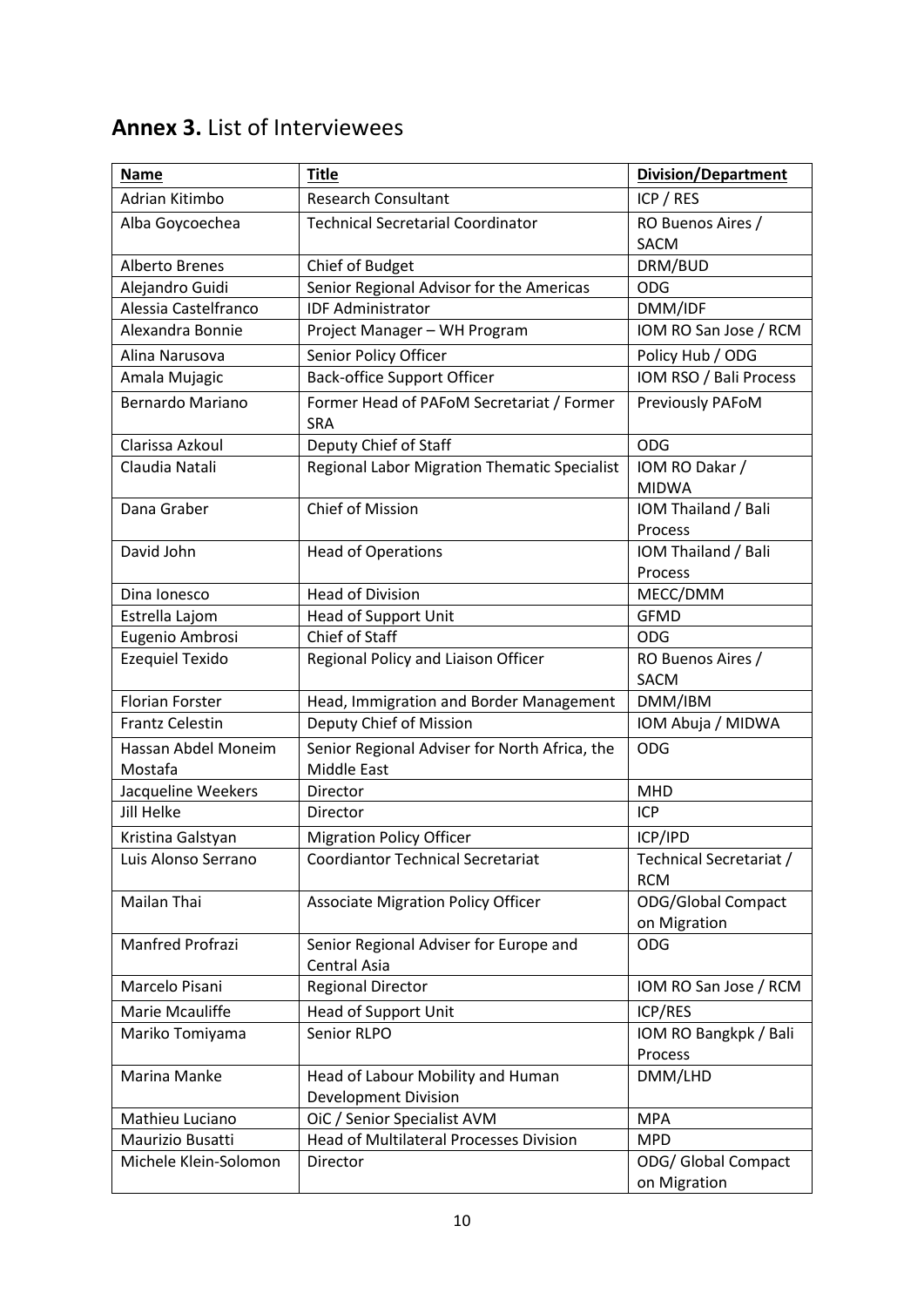#### **Name Title Title Title Title** *Division/Department* Adrian Kitimbo Research Consultant ICP / RES Alba Goycoechea Technical Secretarial Coordinator RO Buenos Aires / **SACM** Alberto Brenes Chief of Budget Chief of Budget DRM/BUD Alejandro Guidi Senior Regional Advisor for the Americas | ODG Alessia Castelfranco | IDF Administrator | DMM/IDF Alexandra Bonnie Project Manager – WH Program | IOM RO San Jose / RCM Alina Narusova | Senior Policy Officer | Policy Hub / ODG Amala Mujagic Back-office Support Officer **IOM RSO** / Bali Process Bernardo Mariano | Former Head of PAFoM Secretariat / Former **SRA** Previously PAFoM Clarissa Azkoul Deputy Chief of Staff ODG Claudia Natali Regional Labor Migration Thematic Specialist | IOM RO Dakar / MIDWA Dana Graber **Chief of Mission** IOM Thailand / Bali Process David John **International Head of Operations** IOM Thailand / Bali Process Dina Ionesco Head of Division Network Network MECC/DMM Estrella Lajom Head of Support Unit GFMD Eugenio Ambrosi Chief of Staff Chief of Staff Chief ODG Ezequiel Texido  $\vert$  Regional Policy and Liaison Officer  $\vert$  RO Buenos Aires / SACM Florian Forster **Head, Immigration and Border Management** DMM/IBM Frantz Celestin **Deputy Chief of Mission** IOM Abuja / MIDWA Hassan Abdel Moneim Mostafa Senior Regional Adviser for North Africa, the Middle East ODG Jacqueline Weekers  $\Box$  Director  $\Box$  Director Jill Helke **Director Director Director ICP** Kristina Galstyan | Migration Policy Officer | ICP/IPD Luis Alonso Serrano Coordiantor Technical Secretariat Technical Secretariat / RCM Mailan Thai **Associate Migration Policy Officer CODG**/Global Compact on Migration Manfred Profrazi Senior Regional Adviser for Europe and Central Asia ODG Marcelo Pisani Regional Director **IOM RO San Jose / RCM** Marie Mcauliffe Thead of Support Unit Theory Inc. All ICP/RES Mariko Tomiyama | Senior RLPO | IOM RO Bangkpk / Bali Process Marina Manke | Head of Labour Mobility and Human Development Division DMM/LHD Mathieu Luciano | OiC / Senior Specialist AVM | MPA Maurizio Busatti **Head of Multilateral Processes Division** MPD Michele Klein-Solomon | Director | ODG/ Global Compact on Migration

### <span id="page-9-0"></span>**Annex 3.** List of Interviewees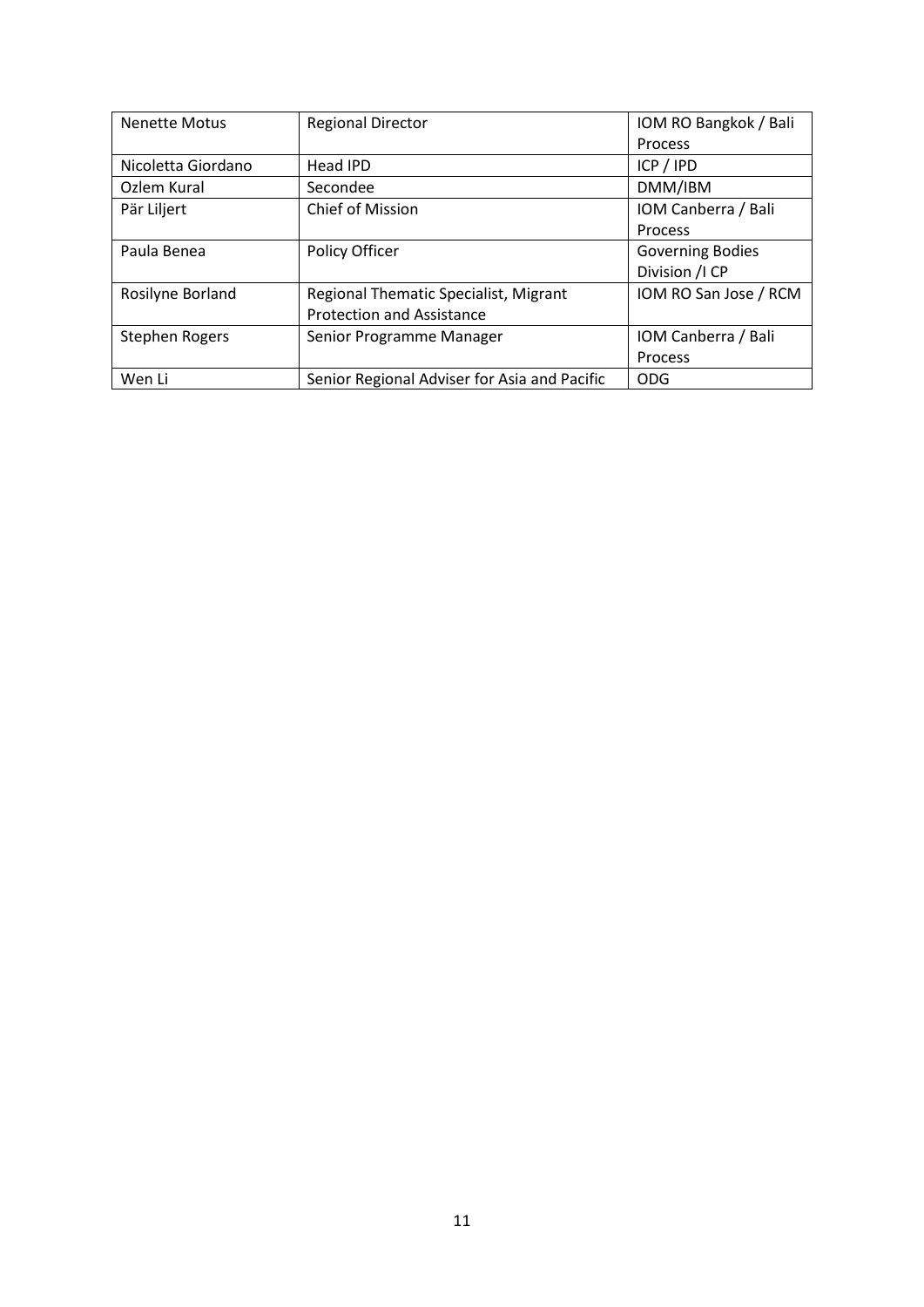| <b>Nenette Motus</b>  | <b>Regional Director</b>                     | IOM RO Bangkok / Bali   |
|-----------------------|----------------------------------------------|-------------------------|
|                       |                                              | Process                 |
| Nicoletta Giordano    | Head IPD                                     | ICP / IPD               |
| Ozlem Kural           | Secondee                                     | DMM/IBM                 |
| Pär Liljert           | <b>Chief of Mission</b>                      | IOM Canberra / Bali     |
|                       |                                              | <b>Process</b>          |
| Paula Benea           | Policy Officer                               | <b>Governing Bodies</b> |
|                       |                                              | Division / ICP          |
| Rosilyne Borland      | Regional Thematic Specialist, Migrant        | IOM RO San Jose / RCM   |
|                       | <b>Protection and Assistance</b>             |                         |
| <b>Stephen Rogers</b> | Senior Programme Manager                     | IOM Canberra / Bali     |
|                       |                                              | Process                 |
| Wen Li                | Senior Regional Adviser for Asia and Pacific | <b>ODG</b>              |